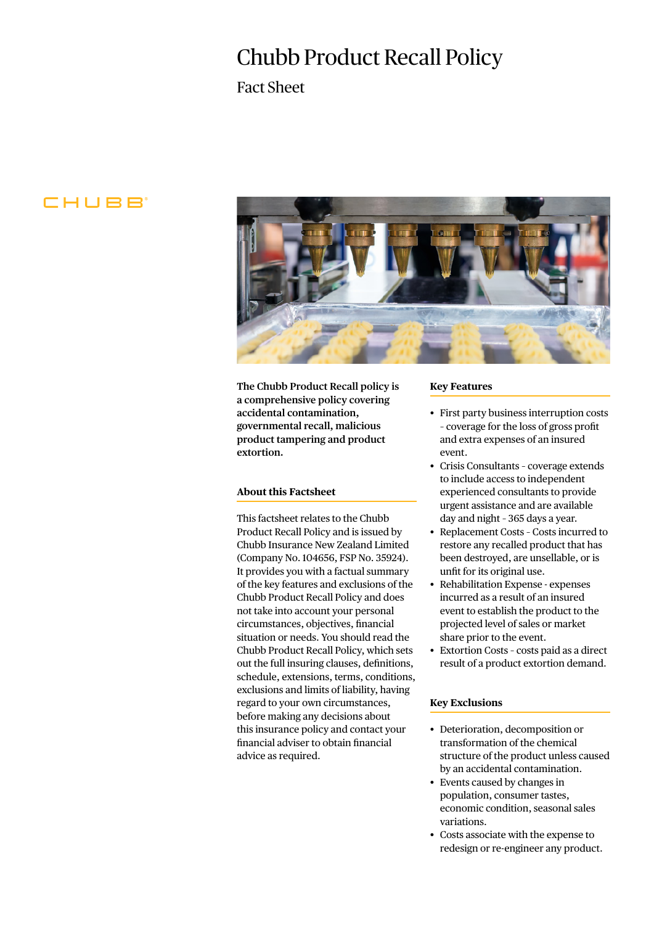# Chubb Product Recall Policy

Fact Sheet

# CHUBB



**The Chubb Product Recall policy is a comprehensive policy covering accidental contamination, governmental recall, malicious product tampering and product extortion.**

## **About this Factsheet**

This factsheet relates to the Chubb Product Recall Policy and is issued by Chubb Insurance New Zealand Limited (Company No. 104656, FSP No. 35924). It provides you with a factual summary of the key features and exclusions of the Chubb Product Recall Policy and does not take into account your personal circumstances, objectives, financial situation or needs. You should read the Chubb Product Recall Policy, which sets out the full insuring clauses, definitions, schedule, extensions, terms, conditions, exclusions and limits of liability, having regard to your own circumstances, before making any decisions about this insurance policy and contact your financial adviser to obtain financial advice as required.

#### **Key Features**

- First party business interruption costs – coverage for the loss of gross profit and extra expenses of an insured event.
- Crisis Consultants coverage extends to include access to independent experienced consultants to provide urgent assistance and are available day and night – 365 days a year.
- Replacement Costs Costs incurred to restore any recalled product that has been destroyed, are unsellable, or is unfit for its original use.
- Rehabilitation Expense expenses incurred as a result of an insured event to establish the product to the projected level of sales or market share prior to the event.
- Extortion Costs costs paid as a direct result of a product extortion demand.

## **Key Exclusions**

- Deterioration, decomposition or transformation of the chemical structure of the product unless caused by an accidental contamination.
- Events caused by changes in population, consumer tastes, economic condition, seasonal sales variations.
- Costs associate with the expense to redesign or re-engineer any product.